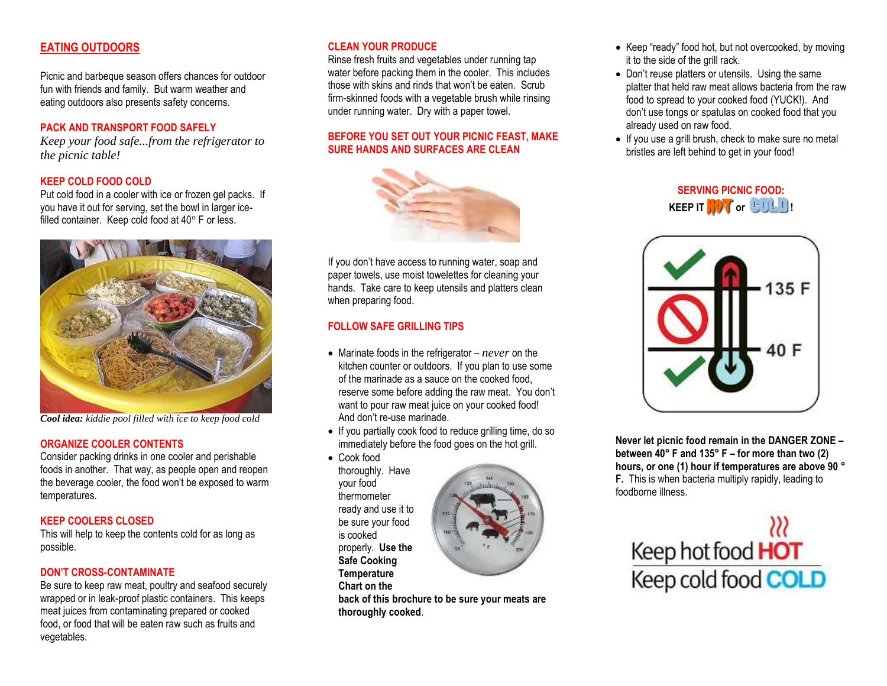### **EATING OUTDOORS**

Picnic and barbeque season offers chances for outdoor fun with friends and family. But warm weather and eating outdoors also presents safety concerns.

#### **PACK AND TRANSPORT FOOD SAFELY**

*Keep your food safe...from the refrigerator to the picnic table!*

#### **KEEP COLD FOOD COLD**

Put cold food in a cooler with ice or frozen gel packs. If you have it out for serving, set the bowl in larger icefilled container. Keep cold food at 40° F or less.



*Cool idea: kiddie pool filled with ice to keep food cold*

#### **ORGANIZE COOLER CONTENTS**

Consider packing drinks in one cooler and perishable foods in another. That way, as people open and reopen the beverage cooler, the food won't be exposed to warm temperatures.

#### **KEEP COOLERS CLOSED**

This will help to keep the contents cold for as long as possible.

#### **DON'T CROSS-CONTAMINATE**

Be sure to keep raw meat, poultry and seafood securely wrapped or in leak-proof plastic containers. This keeps meat juices from contaminating prepared or cooked food, or food that will be eaten raw such as fruits and vegetables.

#### **CLEAN YOUR PRODUCE**

Rinse fresh fruits and vegetables under running tap water before packing them in the cooler. This includes those with skins and rinds that won't be eaten. Scrub firm-skinned foods with a vegetable brush while rinsing under running water. Dry with a paper towel.

#### **BEFORE YOU SET OUT YOUR PICNIC FEAST, MAKE SURE HANDS AND SURFACES ARE CLEAN**



If you don't have access to running water, soap and paper towels, use moist towelettes for cleaning your hands. Take care to keep utensils and platters clean when preparing food.

#### **FOLLOW SAFE GRILLING TIPS**

- Marinate foods in the refrigerator *never* on the kitchen counter or outdoors. If you plan to use some of the marinade as a sauce on the cooked food, reserve some before adding the raw meat. You don't want to pour raw meat juice on your cooked food! And don't re-use marinade.
- If you partially cook food to reduce grilling time, do so immediately before the food goes on the hot grill.
- Cook food thoroughly. Have your food thermometer ready and use it to be sure your food is cooked properly. **Use the Safe Cooking Temperature Chart on the**



**back of this brochure to be sure your meats are thoroughly cooked**.

- Keep "ready" food hot, but not overcooked, by moving it to the side of the grill rack.
- Don't reuse platters or utensils. Using the same platter that held raw meat allows bacteria from the raw food to spread to your cooked food (YUCK!). And don't use tongs or spatulas on cooked food that you already used on raw food.
- If you use a grill brush, check to make sure no metal bristles are left behind to get in your food!





**Never let picnic food remain in the DANGER ZONE – between 40° F and 135° F – for more than two (2) hours, or one (1) hour if temperatures are above 90 ° F.** This is when bacteria multiply rapidly, leading to foodborne illness.